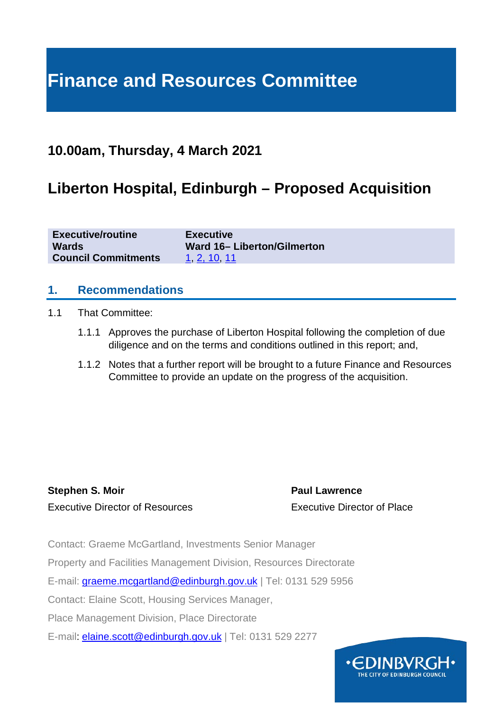# **Finance and Resources Committee**

## **10.00am, Thursday, 4 March 2021**

# **Liberton Hospital, Edinburgh – Proposed Acquisition**

**Executive/routine Executive Ward 16– Liberton/Gilmerton Council Commitments** [1,](http://www.edinburgh.gov.uk/Delivering_an_economy_for_all) [2,](https://www.edinburgh.gov.uk/council-commitments/delivering-economy?documentId=12618&categoryId=20141) [10, 11](https://www.edinburgh.gov.uk/info/20141/council_commitments/693/building_for_a_future_edinburgh)

#### **1. Recommendations**

- 1.1 That Committee:
	- 1.1.1 Approves the purchase of Liberton Hospital following the completion of due diligence and on the terms and conditions outlined in this report; and,
	- 1.1.2 Notes that a further report will be brought to a future Finance and Resources Committee to provide an update on the progress of the acquisition.

**Stephen S. Moir Paul Lawrence** Executive Director of Resources Executive Director of Place

Contact: Graeme McGartland, Investments Senior Manager

Property and Facilities Management Division, Resources Directorate

E-mail: [graeme.mcgartland@edinburgh.gov.uk](mailto:graeme.mcgartland@edinburgh.gov.uk) | Tel: 0131 529 5956

Contact: Elaine Scott, Housing Services Manager,

Place Management Division, Place Directorate

E-mail: [elaine.scott@edinburgh.gov.uk](mailto:elaine.scott@edinburgh.gov.uk) | Tel: 0131 529 2277

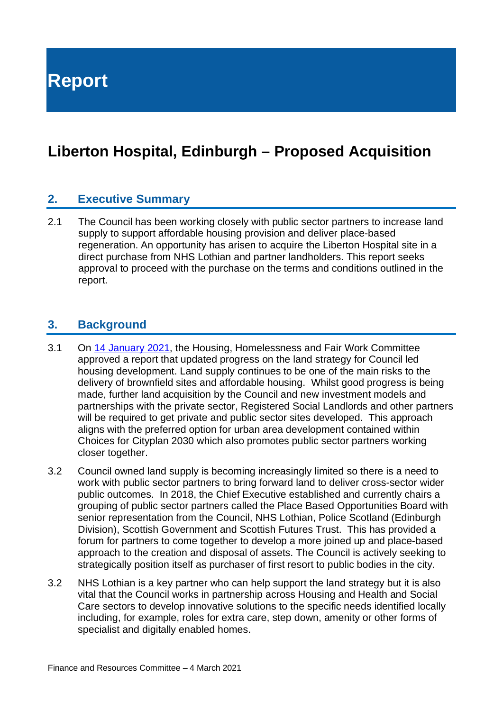**Report**

# **Liberton Hospital, Edinburgh – Proposed Acquisition**

#### **2. Executive Summary**

2.1 The Council has been working closely with public sector partners to increase land supply to support affordable housing provision and deliver place-based regeneration. An opportunity has arisen to acquire the Liberton Hospital site in a direct purchase from NHS Lothian and partner landholders. This report seeks approval to proceed with the purchase on the terms and conditions outlined in the report.

#### **3. Background**

- 3.1 On [14 January 2021,](https://democracy.edinburgh.gov.uk/documents/s30292/7.2%20-%20Land%20Strategy%20to%20Support%20Delivery%20of%20Affordable%20Housing%20and%20Brownfield%20Regeneration.pdf) the Housing, Homelessness and Fair Work Committee approved a report that updated progress on the land strategy for Council led housing development. Land supply continues to be one of the main risks to the delivery of brownfield sites and affordable housing. Whilst good progress is being made, further land acquisition by the Council and new investment models and partnerships with the private sector, Registered Social Landlords and other partners will be required to get private and public sector sites developed. This approach aligns with the preferred option for urban area development contained within Choices for Cityplan 2030 which also promotes public sector partners working closer together.
- 3.2 Council owned land supply is becoming increasingly limited so there is a need to work with public sector partners to bring forward land to deliver cross-sector wider public outcomes. In 2018, the Chief Executive established and currently chairs a grouping of public sector partners called the Place Based Opportunities Board with senior representation from the Council, NHS Lothian, Police Scotland (Edinburgh Division), Scottish Government and Scottish Futures Trust. This has provided a forum for partners to come together to develop a more joined up and place-based approach to the creation and disposal of assets. The Council is actively seeking to strategically position itself as purchaser of first resort to public bodies in the city.
- 3.2 NHS Lothian is a key partner who can help support the land strategy but it is also vital that the Council works in partnership across Housing and Health and Social Care sectors to develop innovative solutions to the specific needs identified locally including, for example, roles for extra care, step down, amenity or other forms of specialist and digitally enabled homes.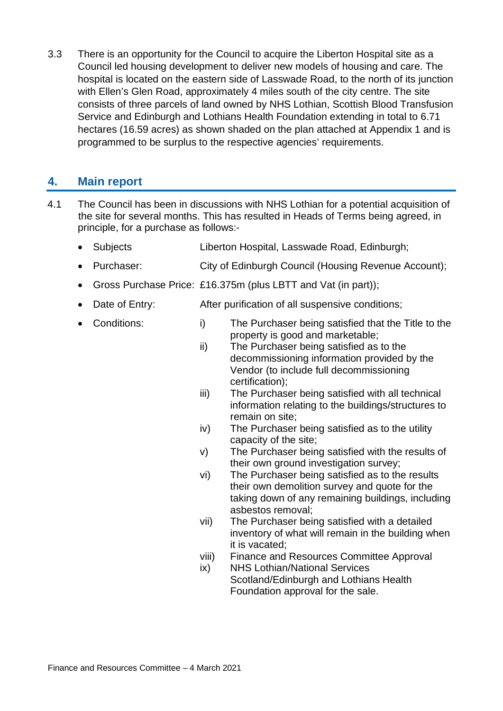3.3 There is an opportunity for the Council to acquire the Liberton Hospital site as a Council led housing development to deliver new models of housing and care. The hospital is located on the eastern side of Lasswade Road, to the north of its junction with Ellen's Glen Road, approximately 4 miles south of the city centre. The site consists of three parcels of land owned by NHS Lothian, Scottish Blood Transfusion Service and Edinburgh and Lothians Health Foundation extending in total to 6.71 hectares (16.59 acres) as shown shaded on the plan attached at Appendix 1 and is programmed to be surplus to the respective agencies' requirements.

#### **4. Main report**

- 4.1 The Council has been in discussions with NHS Lothian for a potential acquisition of the site for several months. This has resulted in Heads of Terms being agreed, in principle, for a purchase as follows:-
	- Subjects Liberton Hospital, Lasswade Road, Edinburgh;
	- Purchaser: City of Edinburgh Council (Housing Revenue Account);
	- Gross Purchase Price: £16.375m (plus LBTT and Vat (in part));
	- Date of Entry: After purification of all suspensive conditions;
	- Conditions: i) The Purchaser being satisfied that the Title to the
		- property is good and marketable; ii) The Purchaser being satisfied as to the decommissioning information provided by the Vendor (to include full decommissioning certification);
		- iii) The Purchaser being satisfied with all technical information relating to the buildings/structures to remain on site;
		- iv) The Purchaser being satisfied as to the utility capacity of the site;
		- v) The Purchaser being satisfied with the results of their own ground investigation survey;
		- vi) The Purchaser being satisfied as to the results their own demolition survey and quote for the taking down of any remaining buildings, including asbestos removal;
		- vii) The Purchaser being satisfied with a detailed inventory of what will remain in the building when it is vacated;
		- viii) Finance and Resources Committee Approval
		- ix) NHS Lothian/National Services Scotland/Edinburgh and Lothians Health Foundation approval for the sale.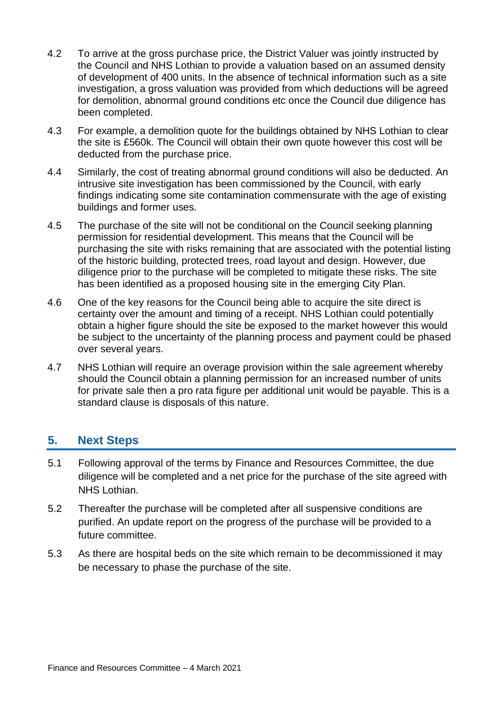- 4.2 To arrive at the gross purchase price, the District Valuer was jointly instructed by the Council and NHS Lothian to provide a valuation based on an assumed density of development of 400 units. In the absence of technical information such as a site investigation, a gross valuation was provided from which deductions will be agreed for demolition, abnormal ground conditions etc once the Council due diligence has been completed.
- 4.3 For example, a demolition quote for the buildings obtained by NHS Lothian to clear the site is £560k. The Council will obtain their own quote however this cost will be deducted from the purchase price.
- 4.4 Similarly, the cost of treating abnormal ground conditions will also be deducted. An intrusive site investigation has been commissioned by the Council, with early findings indicating some site contamination commensurate with the age of existing buildings and former uses.
- 4.5 The purchase of the site will not be conditional on the Council seeking planning permission for residential development. This means that the Council will be purchasing the site with risks remaining that are associated with the potential listing of the historic building, protected trees, road layout and design. However, due diligence prior to the purchase will be completed to mitigate these risks. The site has been identified as a proposed housing site in the emerging City Plan.
- 4.6 One of the key reasons for the Council being able to acquire the site direct is certainty over the amount and timing of a receipt. NHS Lothian could potentially obtain a higher figure should the site be exposed to the market however this would be subject to the uncertainty of the planning process and payment could be phased over several years.
- 4.7 NHS Lothian will require an overage provision within the sale agreement whereby should the Council obtain a planning permission for an increased number of units for private sale then a pro rata figure per additional unit would be payable. This is a standard clause is disposals of this nature.

### **5. Next Steps**

- 5.1 Following approval of the terms by Finance and Resources Committee, the due diligence will be completed and a net price for the purchase of the site agreed with NHS Lothian.
- 5.2 Thereafter the purchase will be completed after all suspensive conditions are purified. An update report on the progress of the purchase will be provided to a future committee.
- 5.3 As there are hospital beds on the site which remain to be decommissioned it may be necessary to phase the purchase of the site.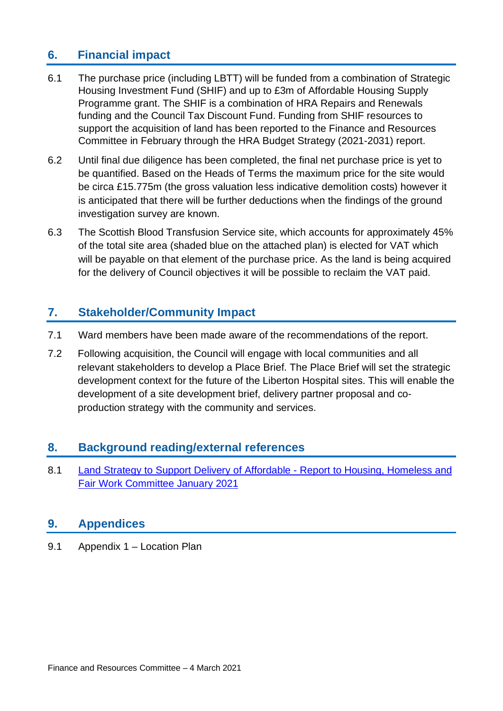### **6. Financial impact**

- 6.1 The purchase price (including LBTT) will be funded from a combination of Strategic Housing Investment Fund (SHIF) and up to £3m of Affordable Housing Supply Programme grant. The SHIF is a combination of HRA Repairs and Renewals funding and the Council Tax Discount Fund. Funding from SHIF resources to support the acquisition of land has been reported to the Finance and Resources Committee in February through the HRA Budget Strategy (2021-2031) report.
- 6.2 Until final due diligence has been completed, the final net purchase price is yet to be quantified. Based on the Heads of Terms the maximum price for the site would be circa £15.775m (the gross valuation less indicative demolition costs) however it is anticipated that there will be further deductions when the findings of the ground investigation survey are known.
- 6.3 The Scottish Blood Transfusion Service site, which accounts for approximately 45% of the total site area (shaded blue on the attached plan) is elected for VAT which will be payable on that element of the purchase price. As the land is being acquired for the delivery of Council objectives it will be possible to reclaim the VAT paid.

#### **7. Stakeholder/Community Impact**

- 7.1 Ward members have been made aware of the recommendations of the report.
- 7.2 Following acquisition, the Council will engage with local communities and all relevant stakeholders to develop a Place Brief. The Place Brief will set the strategic development context for the future of the Liberton Hospital sites. This will enable the development of a site development brief, delivery partner proposal and coproduction strategy with the community and services.

#### **8. Background reading/external references**

8.1 [Land Strategy to Support Delivery of Affordable -](https://democracy.edinburgh.gov.uk/documents/s30292/7.2%20-%20Land%20Strategy%20to%20Support%20Delivery%20of%20Affordable%20Housing%20and%20Brownfield%20Regeneration.pdf) Report to Housing, Homeless and [Fair Work Committee January 2021](https://democracy.edinburgh.gov.uk/documents/s30292/7.2%20-%20Land%20Strategy%20to%20Support%20Delivery%20of%20Affordable%20Housing%20and%20Brownfield%20Regeneration.pdf)

#### **9. Appendices**

9.1 Appendix 1 – Location Plan